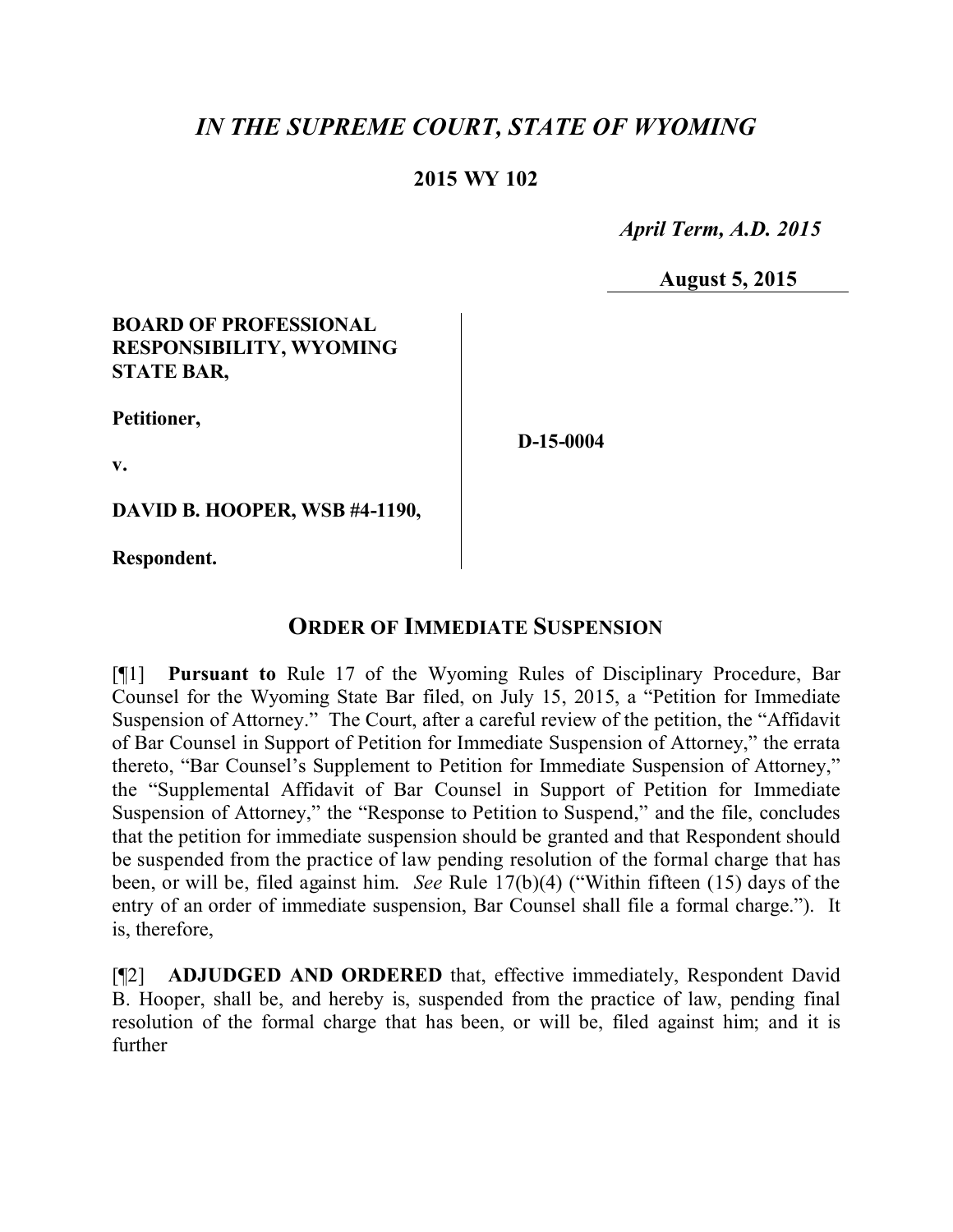# *IN THE SUPREME COURT, STATE OF WYOMING*

#### **2015 WY 102**

 *April Term, A.D. 2015*

**August 5, 2015**

#### **BOARD OF PROFESSIONAL RESPONSIBILITY, WYOMING STATE BAR,**

**Petitioner,**

**D-15-0004**

**v.**

**DAVID B. HOOPER, WSB #4-1190,**

**Respondent.**

### **ORDER OF IMMEDIATE SUSPENSION**

[¶1] **Pursuant to** Rule 17 of the Wyoming Rules of Disciplinary Procedure, Bar Counsel for the Wyoming State Bar filed, on July 15, 2015, a "Petition for Immediate Suspension of Attorney." The Court, after a careful review of the petition, the "Affidavit of Bar Counsel in Support of Petition for Immediate Suspension of Attorney," the errata thereto, "Bar Counsel's Supplement to Petition for Immediate Suspension of Attorney," the "Supplemental Affidavit of Bar Counsel in Support of Petition for Immediate Suspension of Attorney," the "Response to Petition to Suspend," and the file, concludes that the petition for immediate suspension should be granted and that Respondent should be suspended from the practice of law pending resolution of the formal charge that has been, or will be, filed against him. *See* Rule 17(b)(4) ("Within fifteen (15) days of the entry of an order of immediate suspension, Bar Counsel shall file a formal charge."). It is, therefore,

[¶2] **ADJUDGED AND ORDERED** that, effective immediately, Respondent David B. Hooper, shall be, and hereby is, suspended from the practice of law, pending final resolution of the formal charge that has been, or will be, filed against him; and it is further